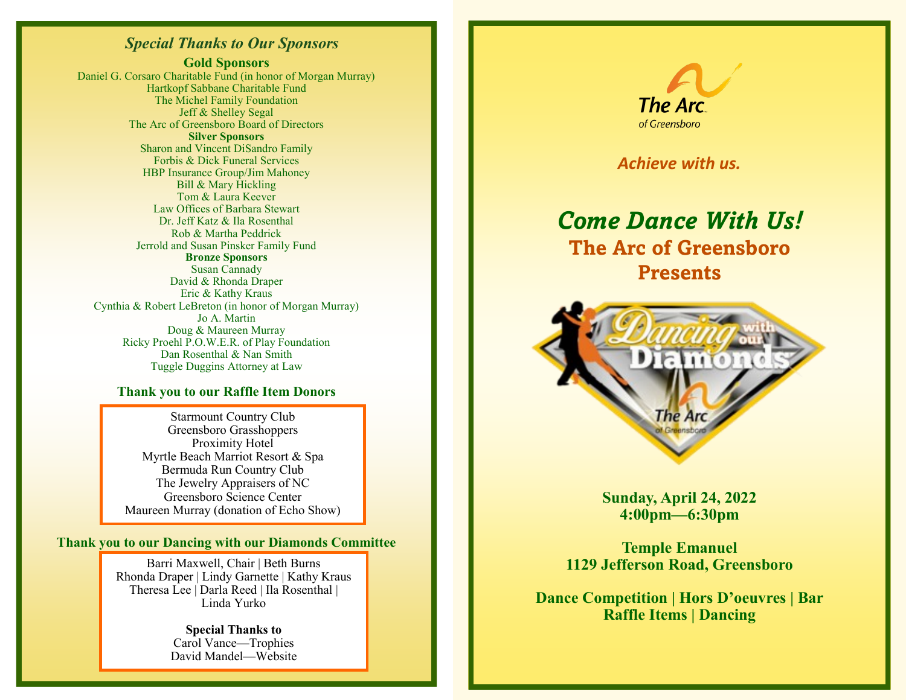## *Special Thanks to Our Sponsors*

**Gold Sponsors** Daniel G. Corsaro Charitable Fund (in honor of Morgan Murray) Hartkopf Sabbane Charitable Fund The Michel Family Foundation Jeff & Shelley Segal The Arc of Greensboro Board of Directors **Silver Sponsors** Sharon and Vincent DiSandro Family Forbis & Dick Funeral Services HBP Insurance Group/Jim Mahoney Bill & Mary Hickling Tom & Laura Keever Law Offices of Barbara Stewart Dr. Jeff Katz & Ila Rosenthal Rob & Martha Peddrick Jerrold and Susan Pinsker Family Fund **Bronze Sponsors** Susan Cannady David & Rhonda Draper Eric & Kathy Kraus Cynthia & Robert LeBreton (in honor of Morgan Murray) Jo A. Martin Doug & Maureen Murray Ricky Proehl P.O.W.E.R. of Play Foundation Dan Rosenthal & Nan Smith Tuggle Duggins Attorney at Law

#### **Thank you to our Raffle Item Donors**

Starmount Country Club Greensboro Grasshoppers Proximity Hotel Myrtle Beach Marriot Resort & Spa Bermuda Run Country Club The Jewelry Appraisers of NC Greensboro Science Center Maureen Murray (donation of Echo Show)

**Thank you to our Dancing with our Diamonds Committee**

Barri Maxwell, Chair | Beth Burns Rhonda Draper | Lindy Garnette | Kathy Kraus Theresa Lee | Darla Reed | Ila Rosenthal | Linda Yurko

> **Special Thanks to**  Carol Vance—Trophies David Mandel—Website



*Achieve with us.*

# *Come Dance With Us!* **The Arc of Greensboro Presents**



**Sunday, April 24, 2022 4:00pm—6:30pm**

**Temple Emanuel 1129 Jefferson Road, Greensboro**

**Dance Competition | Hors D'oeuvres | Bar Raffle Items | Dancing**